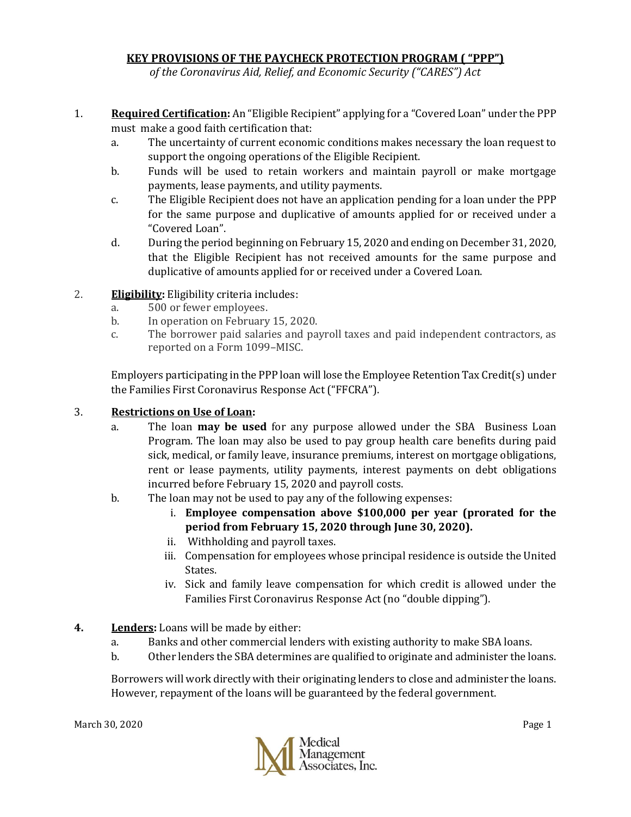# **KEY PROVISIONS OF THE PAYCHECK PROTECTION PROGRAM ( "PPP")**

*of the Coronavirus Aid, Relief, and Economic Security ("CARES") Act*

- 1. **Required Certification:** An "Eligible Recipient" applying for a "Covered Loan" under the PPP must make a good faith certification that:
	- a. The uncertainty of current economic conditions makes necessary the loan request to support the ongoing operations of the Eligible Recipient.
	- b. Funds will be used to retain workers and maintain payroll or make mortgage payments, lease payments, and utility payments.
	- c. The Eligible Recipient does not have an application pending for a loan under the PPP for the same purpose and duplicative of amounts applied for or received under a "Covered Loan".
	- d. During the period beginning on February 15, 2020 and ending on December 31, 2020, that the Eligible Recipient has not received amounts for the same purpose and duplicative of amounts applied for or received under a Covered Loan.
- 2. **Eligibility:** Eligibility criteria includes:
	- a. 500 or fewer employees.
	- b. In operation on February 15, 2020.
	- c. The borrower paid salaries and payroll taxes and paid independent contractors, as reported on a Form 1099–MISC.

Employers participating in the PPP loan will lose the Employee Retention Tax Credit(s) under the Families First Coronavirus Response Act ("FFCRA").

## 3. **Restrictions on Use of Loan:**

- a. The loan **may be used** for any purpose allowed under the SBA Business Loan Program. The loan may also be used to pay group health care benefits during paid sick, medical, or family leave, insurance premiums, interest on mortgage obligations, rent or lease payments, utility payments, interest payments on debt obligations incurred before February 15, 2020 and payroll costs.
- b. The loan may not be used to pay any of the following expenses:
	- i. **Employee compensation above \$100,000 per year (prorated for the period from February 15, 2020 through June 30, 2020).**
	- ii. Withholding and payroll taxes.
	- iii. Compensation for employees whose principal residence is outside the United States.
	- iv. Sick and family leave compensation for which credit is allowed under the Families First Coronavirus Response Act (no "double dipping").
- **4. Lenders:** Loans will be made by either:
	- a. Banks and other commercial lenders with existing authority to make SBA loans.
	- b. Other lenders the SBA determines are qualified to originate and administer the loans.

Borrowers will work directly with their originating lenders to close and administer the loans. However, repayment of the loans will be guaranteed by the federal government.

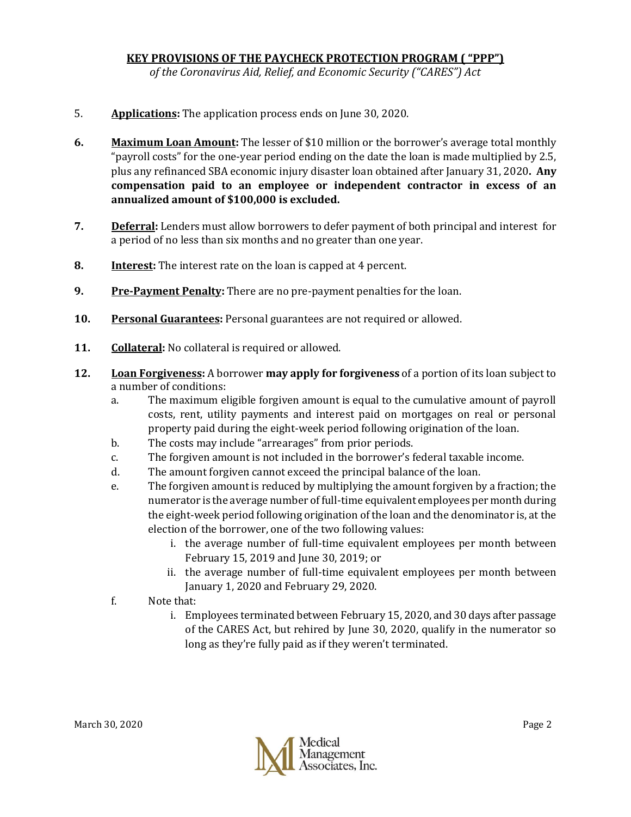## **KEY PROVISIONS OF THE PAYCHECK PROTECTION PROGRAM ( "PPP")**

*of the Coronavirus Aid, Relief, and Economic Security ("CARES") Act*

- 5. **Applications:** The application process ends on June 30, 2020.
- **6. Maximum Loan Amount:** The lesser of \$10 million or the borrower's average total monthly "payroll costs" for the one-year period ending on the date the loan is made multiplied by 2.5, plus any refinanced SBA economic injury disaster loan obtained after January 31, 2020**. Any compensation paid to an employee or independent contractor in excess of an annualized amount of \$100,000 is excluded.**
- **7. Deferral:** Lenders must allow borrowers to defer payment of both principal and interest for a period of no less than six months and no greater than one year.
- **8. Interest:** The interest rate on the loan is capped at 4 percent.
- **9. Pre-Payment Penalty:** There are no pre-payment penalties for the loan.
- **10. Personal Guarantees:** Personal guarantees are not required or allowed.
- **11. Collateral:** No collateral is required or allowed.
- **12. Loan Forgiveness:** A borrower **may apply for forgiveness** of a portion of its loan subject to a number of conditions:
	- a. The maximum eligible forgiven amount is equal to the cumulative amount of payroll costs, rent, utility payments and interest paid on mortgages on real or personal property paid during the eight-week period following origination of the loan.
	- b. The costs may include "arrearages" from prior periods.
	- c. The forgiven amount is not included in the borrower's federal taxable income.
	- d. The amount forgiven cannot exceed the principal balance of the loan.
	- e. The forgiven amount is reduced by multiplying the amount forgiven by a fraction; the numerator is the average number of full-time equivalent employees per month during the eight-week period following origination of the loan and the denominator is, at the election of the borrower, one of the two following values:
		- i. the average number of full-time equivalent employees per month between February 15, 2019 and June 30, 2019; or
		- ii. the average number of full-time equivalent employees per month between January 1, 2020 and February 29, 2020.
	- f. Note that:
		- i. Employees terminated between February 15, 2020, and 30 days after passage of the CARES Act, but rehired by June 30, 2020, qualify in the numerator so long as they're fully paid as if they weren't terminated.